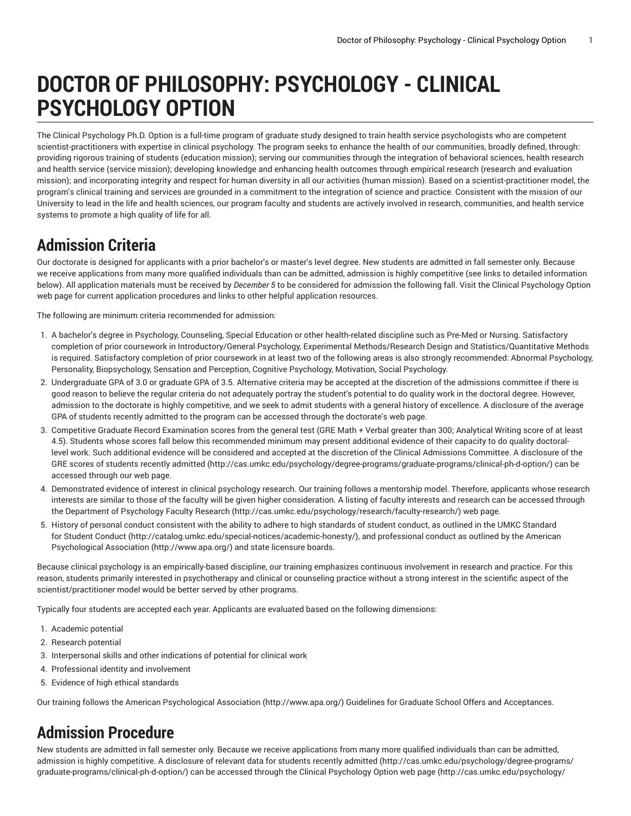# **DOCTOR OF PHILOSOPHY: PSYCHOLOGY - CLINICAL PSYCHOLOGY OPTION**

The Clinical Psychology Ph.D. Option is a full-time program of graduate study designed to train health service psychologists who are competent scientist-practitioners with expertise in clinical psychology. The program seeks to enhance the health of our communities, broadly defined, through: providing rigorous training of students (education mission); serving our communities through the integration of behavioral sciences, health research and health service (service mission); developing knowledge and enhancing health outcomes through empirical research (research and evaluation mission); and incorporating integrity and respect for human diversity in all our activities (human mission). Based on a scientist-practitioner model, the program's clinical training and services are grounded in a commitment to the integration of science and practice. Consistent with the mission of our University to lead in the life and health sciences, our program faculty and students are actively involved in research, communities, and health service systems to promote a high quality of life for all.

## **Admission Criteria**

Our doctorate is designed for applicants with a prior bachelor's or master's level degree. New students are admitted in fall semester only. Because we receive applications from many more qualified individuals than can be admitted, admission is highly competitive (see links to detailed information below). All application materials must be received by *December 5* to be considered for admission the following fall. Visit the Clinical Psychology Option web page for current application procedures and links to other helpful application resources.

The following are minimum criteria recommended for admission:

- 1. A bachelor's degree in Psychology, Counseling, Special Education or other health-related discipline such as Pre-Med or Nursing. Satisfactory completion of prior coursework in Introductory/General Psychology, Experimental Methods/Research Design and Statistics/Quantitative Methods is required. Satisfactory completion of prior coursework in at least two of the following areas is also strongly recommended: Abnormal Psychology, Personality, Biopsychology, Sensation and Perception, Cognitive Psychology, Motivation, Social Psychology.
- 2. Undergraduate GPA of 3.0 or graduate GPA of 3.5. Alternative criteria may be accepted at the discretion of the admissions committee if there is good reason to believe the regular criteria do not adequately portray the student's potential to do quality work in the doctoral degree. However, admission to the doctorate is highly competitive, and we seek to admit students with a general history of excellence. A disclosure of the average GPA of students recently admitted to the program can be accessed through the doctorate's web page.
- 3. Competitive Graduate Record Examination scores from the general test (GRE Math + Verbal greater than 300; Analytical Writing score of at least 4.5). Students whose scores fall below this recommended minimum may present additional evidence of their capacity to do quality doctorallevel work. Such additional evidence will be considered and accepted at the discretion of the Clinical Admissions Committee. A disclosure of the GRE scores of students recently [admitted](http://cas.umkc.edu/psychology/degree-programs/graduate-programs/clinical-ph-d-option/) ([http://cas.umkc.edu/psychology/degree-programs/graduate-programs/clinical-ph-d-option/\)](http://cas.umkc.edu/psychology/degree-programs/graduate-programs/clinical-ph-d-option/) can be accessed through our web page.
- 4. Demonstrated evidence of interest in clinical psychology research. Our training follows a mentorship model. Therefore, applicants whose research interests are similar to those of the faculty will be given higher consideration. A listing of faculty interests and research can be accessed through the Department of Psychology Faculty [Research](http://cas.umkc.edu/psychology/research/faculty-research/) ([http://cas.umkc.edu/psychology/research/faculty-research/\)](http://cas.umkc.edu/psychology/research/faculty-research/) web page.
- 5. History of personal conduct consistent with the ability to adhere to high standards of student conduct, as outlined in the UMKC [Standard](http://catalog.umkc.edu/special-notices/academic-honesty/) [for Student Conduct \(http://catalog.umkc.edu/special-notices/academic-honesty/](http://catalog.umkc.edu/special-notices/academic-honesty/)), and professional conduct as outlined by the [American](http://www.apa.org/) [Psychological](http://www.apa.org/) Association (<http://www.apa.org/>) and state licensure boards.

Because clinical psychology is an empirically-based discipline, our training emphasizes continuous involvement in research and practice. For this reason, students primarily interested in psychotherapy and clinical or counseling practice without a strong interest in the scientific aspect of the scientist/practitioner model would be better served by other programs.

Typically four students are accepted each year. Applicants are evaluated based on the following dimensions:

- 1. Academic potential
- 2. Research potential
- 3. Interpersonal skills and other indications of potential for clinical work
- 4. Professional identity and involvement
- 5. Evidence of high ethical standards

Our training follows the American [Psychological](http://www.apa.org/) Association (<http://www.apa.org/>) Guidelines for Graduate School Offers and Acceptances.

## **Admission Procedure**

New students are admitted in fall semester only. Because we receive applications from many more qualified individuals than can be admitted, admission is highly competitive. A disclosure of relevant data for students recently [admitted \(http://cas.umkc.edu/psychology/degree-programs/](http://cas.umkc.edu/psychology/degree-programs/graduate-programs/clinical-ph-d-option/) [graduate-programs/clinical-ph-d-option/](http://cas.umkc.edu/psychology/degree-programs/graduate-programs/clinical-ph-d-option/)) can be accessed through the Clinical Psychology Option [web page \(http://cas.umkc.edu/psychology/](http://cas.umkc.edu/psychology/degree-programs/graduate-programs/clinical-ph-d-option/)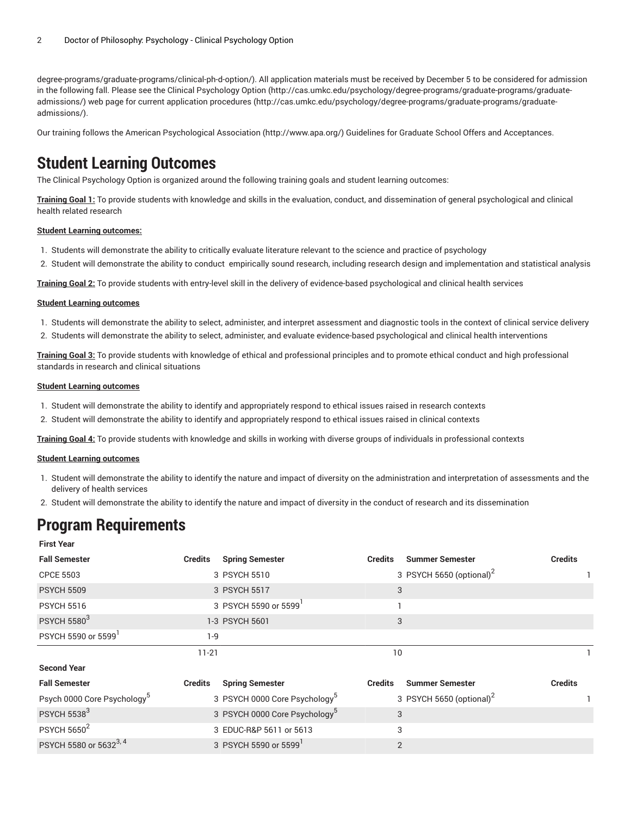[degree-programs/graduate-programs/clinical-ph-d-option/\)](http://cas.umkc.edu/psychology/degree-programs/graduate-programs/clinical-ph-d-option/). All application materials must be received by December 5 to be considered for admission in the following fall. Please see the Clinical [Psychology](http://cas.umkc.edu/psychology/degree-programs/graduate-programs/graduate-admissions/) Option ([http://cas.umkc.edu/psychology/degree-programs/graduate-programs/graduate](http://cas.umkc.edu/psychology/degree-programs/graduate-programs/graduate-admissions/)[admissions/\)](http://cas.umkc.edu/psychology/degree-programs/graduate-programs/graduate-admissions/) web page for current application [procedures](http://cas.umkc.edu/psychology/degree-programs/graduate-programs/graduate-admissions/) ([http://cas.umkc.edu/psychology/degree-programs/graduate-programs/graduate](http://cas.umkc.edu/psychology/degree-programs/graduate-programs/graduate-admissions/)[admissions/\)](http://cas.umkc.edu/psychology/degree-programs/graduate-programs/graduate-admissions/).

Our training follows the American [Psychological](http://www.apa.org/) Association (<http://www.apa.org/>) Guidelines for Graduate School Offers and Acceptances.

### **Student Learning Outcomes**

The Clinical Psychology Option is organized around the following training goals and student learning outcomes:

**Training Goal 1:** To provide students with knowledge and skills in the evaluation, conduct, and dissemination of general psychological and clinical health related research

#### **Student Learning outcomes:**

- 1. Students will demonstrate the ability to critically evaluate literature relevant to the science and practice of psychology
- 2. Student will demonstrate the ability to conduct empirically sound research, including research design and implementation and statistical analysis

**Training Goal 2:** To provide students with entry-level skill in the delivery of evidence-based psychological and clinical health services

#### **Student Learning outcomes**

- 1. Students will demonstrate the ability to select, administer, and interpret assessment and diagnostic tools in the context of clinical service delivery
- 2. Students will demonstrate the ability to select, administer, and evaluate evidence-based psychological and clinical health interventions

**Training Goal 3:** To provide students with knowledge of ethical and professional principles and to promote ethical conduct and high professional standards in research and clinical situations

#### **Student Learning outcomes**

- 1. Student will demonstrate the ability to identify and appropriately respond to ethical issues raised in research contexts
- 2. Student will demonstrate the ability to identify and appropriately respond to ethical issues raised in clinical contexts

**Training Goal 4:** To provide students with knowledge and skills in working with diverse groups of individuals in professional contexts

#### **Student Learning outcomes**

- 1. Student will demonstrate the ability to identify the nature and impact of diversity on the administration and interpretation of assessments and the delivery of health services
- 2. Student will demonstrate the ability to identify the nature and impact of diversity in the conduct of research and its dissemination

### **Program Requirements**

| <b>First Year</b>                       |                |                                           |                |                                      |                |
|-----------------------------------------|----------------|-------------------------------------------|----------------|--------------------------------------|----------------|
| <b>Fall Semester</b>                    | <b>Credits</b> | <b>Spring Semester</b>                    | <b>Credits</b> | <b>Summer Semester</b>               | <b>Credits</b> |
| <b>CPCE 5503</b>                        |                | 3 PSYCH 5510                              |                | 3 PSYCH 5650 (optional) <sup>2</sup> |                |
| <b>PSYCH 5509</b>                       |                | 3 PSYCH 5517                              | 3              |                                      |                |
| <b>PSYCH 5516</b>                       |                | 3 PSYCH 5590 or 5599                      |                |                                      |                |
| <b>PSYCH 5580<sup>3</sup></b>           |                | 1-3 PSYCH 5601                            | 3              |                                      |                |
| PSYCH 5590 or 5599                      | $1-9$          |                                           |                |                                      |                |
|                                         | $11 - 21$      |                                           | 10             |                                      |                |
| <b>Second Year</b>                      |                |                                           |                |                                      |                |
| <b>Fall Semester</b>                    | <b>Credits</b> | <b>Spring Semester</b>                    | <b>Credits</b> | <b>Summer Semester</b>               | <b>Credits</b> |
| Psych 0000 Core Psychology <sup>5</sup> |                | 3 PSYCH 0000 Core Psychology <sup>5</sup> |                | 3 PSYCH 5650 (optional) <sup>2</sup> |                |
| <b>PSYCH 55383</b>                      |                | 3 PSYCH 0000 Core Psychology <sup>5</sup> | 3              |                                      |                |
| <b>PSYCH 5650<sup>2</sup></b>           |                | 3 EDUC-R&P 5611 or 5613                   | 3              |                                      |                |
| PSYCH 5580 or 5632 <sup>3, 4</sup>      |                | 3 PSYCH 5590 or 5599                      | $\overline{2}$ |                                      |                |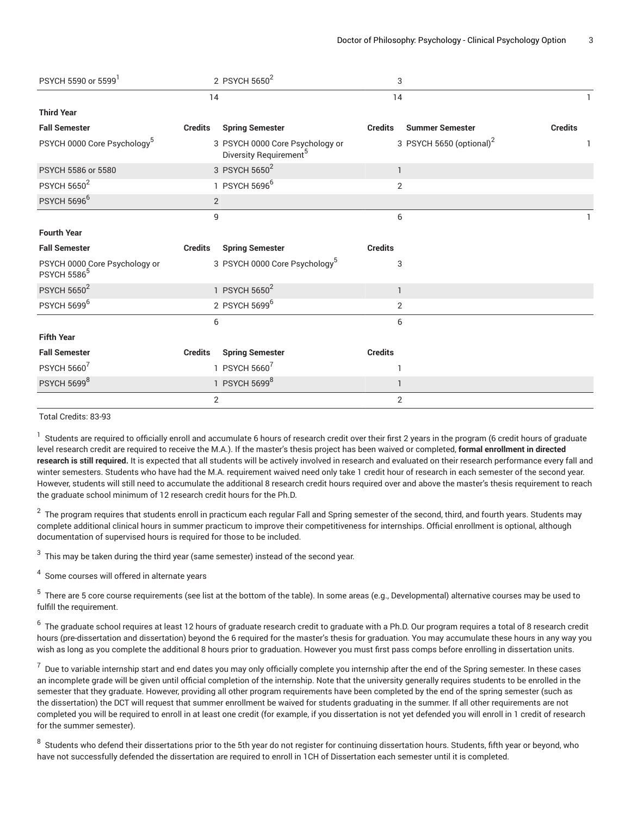| PSYCH 5590 or 5599 <sup>1</sup>                                |                | 2 PSYCH 5650 <sup>2</sup>                                             |                | 3                                    |                |
|----------------------------------------------------------------|----------------|-----------------------------------------------------------------------|----------------|--------------------------------------|----------------|
|                                                                | 14             |                                                                       | 14             |                                      |                |
| <b>Third Year</b>                                              |                |                                                                       |                |                                      |                |
| <b>Fall Semester</b>                                           | <b>Credits</b> | <b>Spring Semester</b>                                                | <b>Credits</b> | <b>Summer Semester</b>               | <b>Credits</b> |
| PSYCH 0000 Core Psychology <sup>5</sup>                        |                | 3 PSYCH 0000 Core Psychology or<br>Diversity Requirement <sup>5</sup> |                | 3 PSYCH 5650 (optional) <sup>2</sup> |                |
| PSYCH 5586 or 5580                                             |                | 3 PSYCH 5650 <sup>2</sup>                                             |                | $\mathbf{1}$                         |                |
| <b>PSYCH 5650<sup>2</sup></b>                                  |                | 1 PSYCH 5696 <sup>6</sup>                                             |                | $\overline{2}$                       |                |
| <b>PSYCH 5696<sup>6</sup></b>                                  | $\overline{2}$ |                                                                       |                |                                      |                |
|                                                                | 9              |                                                                       |                | 6                                    |                |
| <b>Fourth Year</b>                                             |                |                                                                       |                |                                      |                |
| <b>Fall Semester</b>                                           | <b>Credits</b> | <b>Spring Semester</b>                                                | <b>Credits</b> |                                      |                |
| PSYCH 0000 Core Psychology or<br><b>PSYCH 5586<sup>5</sup></b> |                | 3 PSYCH 0000 Core Psychology <sup>5</sup>                             |                | 3                                    |                |
| <b>PSYCH 5650<sup>2</sup></b>                                  |                | 1 PSYCH 5650 <sup>2</sup>                                             |                | $\mathbf{1}$                         |                |
| PSYCH 5699 <sup>6</sup>                                        |                | 2 PSYCH 5699 <sup>6</sup>                                             |                | $\overline{2}$                       |                |
|                                                                | 6              |                                                                       |                | 6                                    |                |
| <b>Fifth Year</b>                                              |                |                                                                       |                |                                      |                |
| <b>Fall Semester</b>                                           | <b>Credits</b> | <b>Spring Semester</b>                                                | <b>Credits</b> |                                      |                |
| <b>PSYCH 5660<sup>7</sup></b>                                  |                | 1 PSYCH 56607                                                         |                | 1                                    |                |
| PSYCH 56998                                                    |                | 1 PSYCH 56998                                                         |                |                                      |                |
|                                                                | $\overline{2}$ |                                                                       |                | $\overline{2}$                       |                |

Total Credits: 83-93

 $^{\rm 1}$  Students are required to officially enroll and accumulate 6 hours of research credit over their first 2 years in the program (6 credit hours of graduate level research credit are required to receive the M.A.). If the master's thesis project has been waived or completed, **formal enrollment in directed research is still required.** It is expected that all students will be actively involved in research and evaluated on their research performance every fall and winter semesters. Students who have had the M.A. requirement waived need only take 1 credit hour of research in each semester of the second year. However, students will still need to accumulate the additional 8 research credit hours required over and above the master's thesis requirement to reach the graduate school minimum of 12 research credit hours for the Ph.D.

 $^{\rm 2}$  The program requires that students enroll in practicum each regular Fall and Spring semester of the second, third, and fourth years. Students may complete additional clinical hours in summer practicum to improve their competitiveness for internships. Official enrollment is optional, although documentation of supervised hours is required for those to be included.

 $^3\,$  This may be taken during the third year (same semester) instead of the second year.

<sup>4</sup> Some courses will offered in alternate years

 $^{\rm 5}$  There are 5 core course requirements (see list at the bottom of the table). In some areas (e.g., Developmental) alternative courses may be used to fulfill the requirement.

 $^6\,$  The graduate school requires at least 12 hours of graduate research credit to graduate with a Ph.D. Our program requires a total of 8 research credit hours (pre-dissertation and dissertation) beyond the 6 required for the master's thesis for graduation. You may accumulate these hours in any way you wish as long as you complete the additional 8 hours prior to graduation. However you must first pass comps before enrolling in dissertation units.

 $^7\,$  Due to variable internship start and end dates you may only officially complete you internship after the end of the Spring semester. In these cases an incomplete grade will be given until official completion of the internship. Note that the university generally requires students to be enrolled in the semester that they graduate. However, providing all other program requirements have been completed by the end of the spring semester (such as the dissertation) the DCT will request that summer enrollment be waived for students graduating in the summer. If all other requirements are not completed you will be required to enroll in at least one credit (for example, if you dissertation is not yet defended you will enroll in 1 credit of research for the summer semester).

 $^8\,$  Students who defend their dissertations prior to the 5th year do not register for continuing dissertation hours. Students, fifth year or beyond, who have not successfully defended the dissertation are required to enroll in 1CH of Dissertation each semester until it is completed.